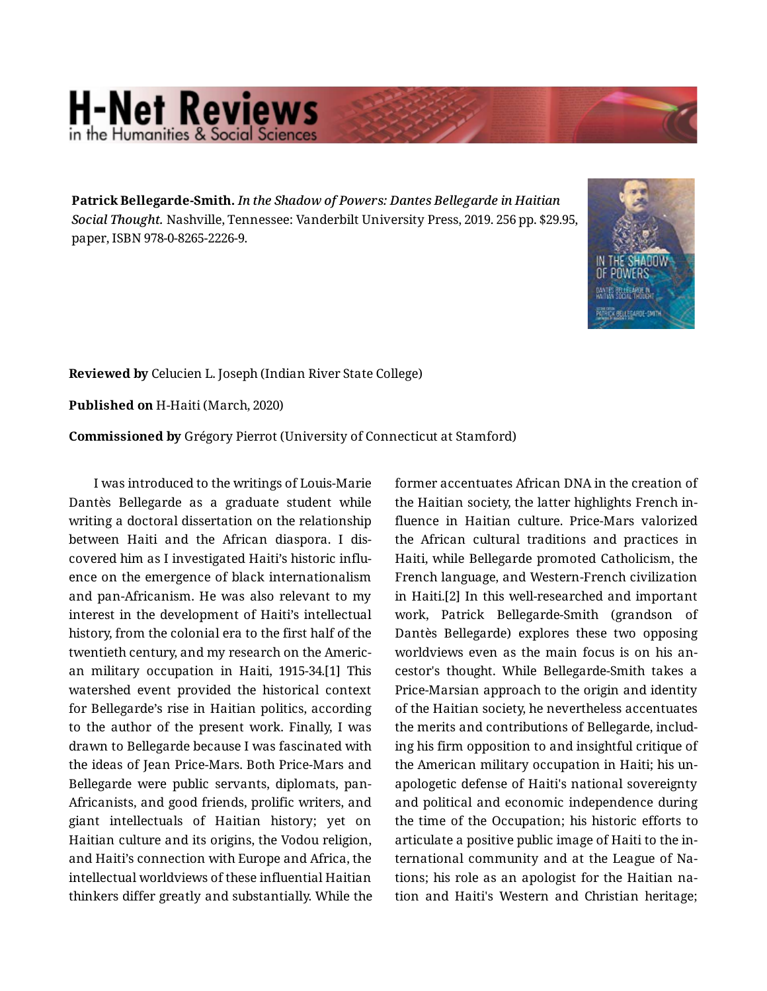## **H-Net Reviews** in the Humanities & Social S

**Patrick Bellegarde-Smith.** *In the Shadow of Powers: Dantes Bellegarde in Haitian Social Thought.* Nashville, Tennessee: Vanderbilt University Press, 2019. 256 pp. \$29.95, paper, ISBN 978-0-8265-2226-9.



**Reviewed by** Celucien L. Joseph (Indian River State College)

**Published on** H-Haiti (March, 2020)

**Commissioned by** Grégory Pierrot (University of Connecticut at Stamford)

I was introduced to the writings of Louis-Marie Dantès Bellegarde as a graduate student while writing a doctoral dissertation on the relationship between Haiti and the African diaspora. I dis‐ covered him as I investigated Haiti's historic influ‐ ence on the emergence of black internationalism and pan-Africanism. He was also relevant to my interest in the development of Haiti's intellectual history, from the colonial era to the first half of the twentieth century, and my research on the Americ‐ an military occupation in Haiti, 1915-34.[1] This watershed event provided the historical context for Bellegarde's rise in Haitian politics, according to the author of the present work. Finally, I was drawn to Bellegarde because I was fascinated with the ideas of Jean Price-Mars. Both Price-Mars and Bellegarde were public servants, diplomats, pan-Africanists, and good friends, prolific writers, and giant intellectuals of Haitian history; yet on Haitian culture and its origins, the Vodou religion, and Haiti's connection with Europe and Africa, the intellectual worldviews of these influential Haitian thinkers differ greatly and substantially. While the

former accentuates African DNA in the creation of the Haitian society, the latter highlights French in‐ fluence in Haitian culture. Price-Mars valorized the African cultural traditions and practices in Haiti, while Bellegarde promoted Catholicism, the French language, and Western-French civilization in Haiti.[2] In this well-researched and important work, Patrick Bellegarde-Smith (grandson of Dantès Bellegarde) explores these two opposing worldviews even as the main focus is on his an‐ cestor's thought. While Bellegarde-Smith takes a Price-Marsian approach to the origin and identity of the Haitian society, he nevertheless accentuates the merits and contributions of Bellegarde, includ‐ ing his firm opposition to and insightful critique of the American military occupation in Haiti; his un‐ apologetic defense of Haiti's national sovereignty and political and economic independence during the time of the Occupation; his historic efforts to articulate a positive public image of Haiti to the in‐ ternational community and at the League of Na‐ tions; his role as an apologist for the Haitian na‐ tion and Haiti's Western and Christian heritage;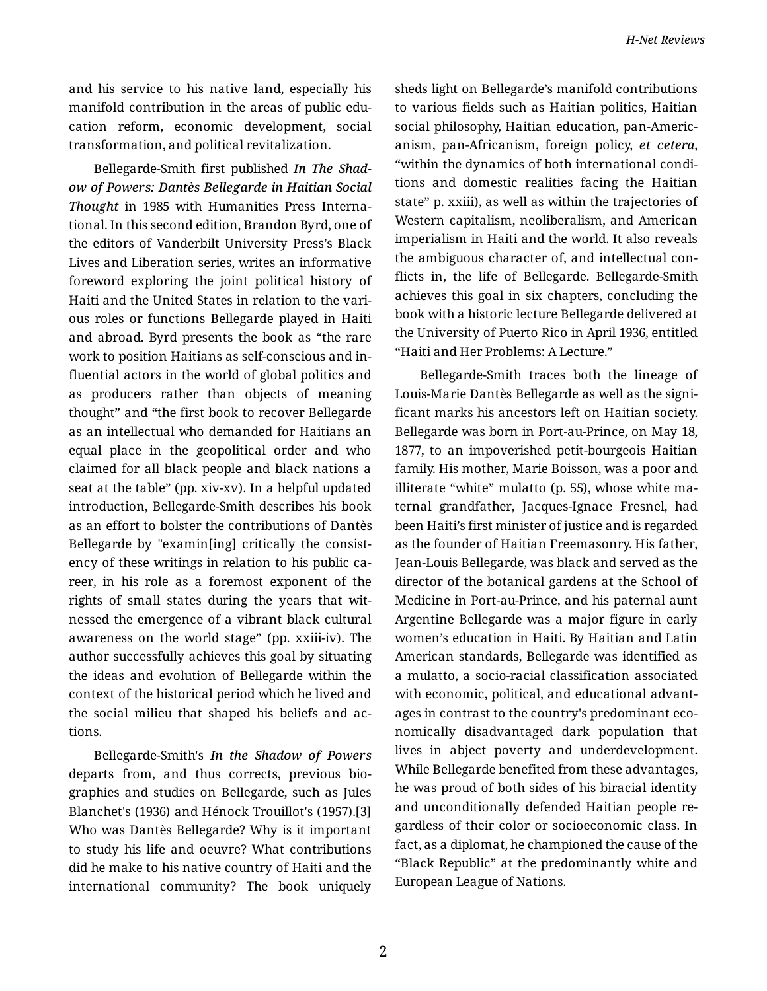and his service to his native land, especially his manifold contribution in the areas of public edu‐ cation reform, economic development, social transformation, and political revitalization.

Bellegarde-Smith first published *In The Shad‐ ow of Powers: Dantès Bellegarde in Haitian Social Thought* in 1985 with Humanities Press Interna‐ tional. In this second edition, Brandon Byrd, one of the editors of Vanderbilt University Press's Black Lives and Liberation series, writes an informative foreword exploring the joint political history of Haiti and the United States in relation to the vari‐ ous roles or functions Bellegarde played in Haiti and abroad. Byrd presents the book as "the rare work to position Haitians as self-conscious and in‐ fluential actors in the world of global politics and as producers rather than objects of meaning thought" and "the first book to recover Bellegarde as an intellectual who demanded for Haitians an equal place in the geopolitical order and who claimed for all black people and black nations a seat at the table" (pp. xiv-xv). In a helpful updated introduction, Bellegarde-Smith describes his book as an effort to bolster the contributions of Dantès Bellegarde by "examin[ing] critically the consist‐ ency of these writings in relation to his public ca‐ reer, in his role as a foremost exponent of the rights of small states during the years that wit‐ nessed the emergence of a vibrant black cultural awareness on the world stage" (pp. xxiii-iv). The author successfully achieves this goal by situating the ideas and evolution of Bellegarde within the context of the historical period which he lived and the social milieu that shaped his beliefs and ac‐ tions.

Bellegarde-Smith's *In the Shadow of Powers* departs from, and thus corrects, previous bio‐ graphies and studies on Bellegarde, such as Jules Blanchet's (1936) and Hénock Trouillot's (1957).[3] Who was Dantès Bellegarde? Why is it important to study his life and oeuvre? What contributions did he make to his native country of Haiti and the international community? The book uniquely sheds light on Bellegarde's manifold contributions to various fields such as Haitian politics, Haitian social philosophy, Haitian education, pan-Americ‐ anism, pan-Africanism, foreign policy, *et cetera*, "within the dynamics of both international condi‐ tions and domestic realities facing the Haitian state" p. xxiii), as well as within the trajectories of Western capitalism, neoliberalism, and American imperialism in Haiti and the world. It also reveals the ambiguous character of, and intellectual con‐ flicts in, the life of Bellegarde. Bellegarde-Smith achieves this goal in six chapters, concluding the book with a historic lecture Bellegarde delivered at the University of Puerto Rico in April 1936, entitled "Haiti and Her Problems: A Lecture."

Bellegarde-Smith traces both the lineage of Louis-Marie Dantès Bellegarde as well as the signi‐ ficant marks his ancestors left on Haitian society. Bellegarde was born in Port-au-Prince, on May 18, 1877, to an impoverished petit-bourgeois Haitian family. His mother, Marie Boisson, was a poor and illiterate "white" mulatto (p. 55), whose white ma‐ ternal grandfather, Jacques-Ignace Fresnel, had been Haiti's first minister of justice and is regarded as the founder of Haitian Freemasonry. His father, Jean-Louis Bellegarde, was black and served as the director of the botanical gardens at the School of Medicine in Port-au-Prince, and his paternal aunt Argentine Bellegarde was a major figure in early women's education in Haiti. By Haitian and Latin American standards, Bellegarde was identified as a mulatto, a socio-racial classification associated with economic, political, and educational advant‐ ages in contrast to the country's predominant eco‐ nomically disadvantaged dark population that lives in abject poverty and underdevelopment. While Bellegarde benefited from these advantages, he was proud of both sides of his biracial identity and unconditionally defended Haitian people re‐ gardless of their color or socioeconomic class. In fact, as a diplomat, he championed the cause of the "Black Republic" at the predominantly white and European League of Nations.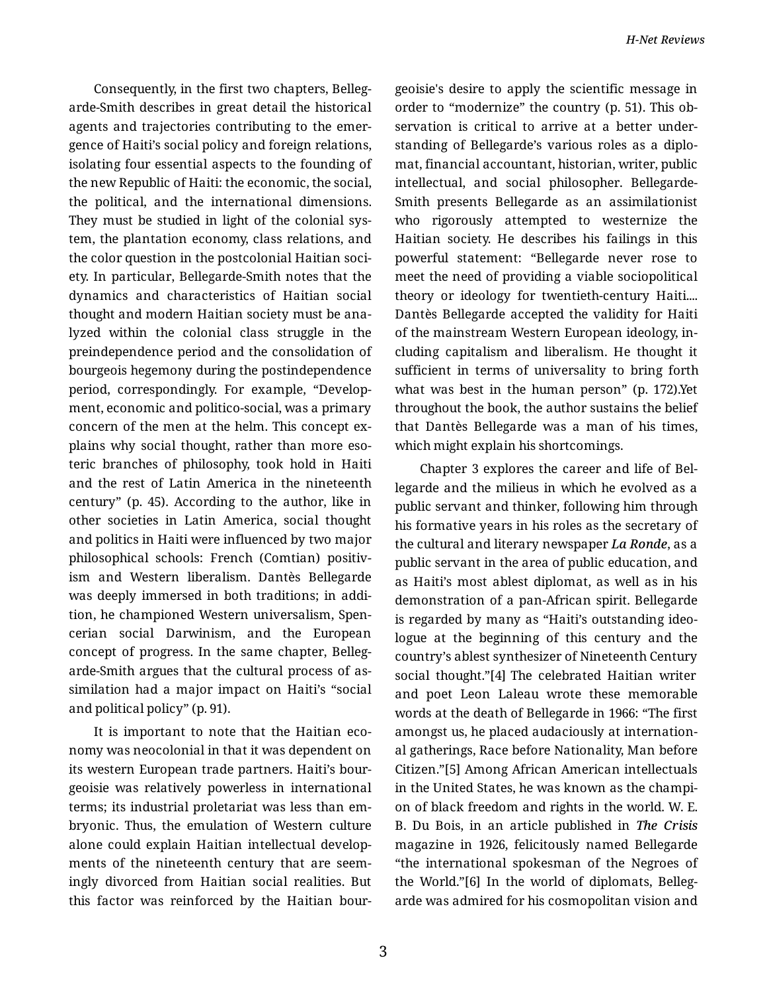Consequently, in the first two chapters, Belleg‐ arde-Smith describes in great detail the historical agents and trajectories contributing to the emer‐ gence of Haiti's social policy and foreign relations, isolating four essential aspects to the founding of the new Republic of Haiti: the economic, the social, the political, and the international dimensions. They must be studied in light of the colonial sys‐ tem, the plantation economy, class relations, and the color question in the postcolonial Haitian soci‐ ety. In particular, Bellegarde-Smith notes that the dynamics and characteristics of Haitian social thought and modern Haitian society must be ana‐ lyzed within the colonial class struggle in the preindependence period and the consolidation of bourgeois hegemony during the postindependence period, correspondingly. For example, "Develop‐ ment, economic and politico-social, was a primary concern of the men at the helm. This concept ex‐ plains why social thought, rather than more eso‐ teric branches of philosophy, took hold in Haiti and the rest of Latin America in the nineteenth century" (p. 45). According to the author, like in other societies in Latin America, social thought and politics in Haiti were influenced by two major philosophical schools: French (Comtian) positiv‐ ism and Western liberalism. Dantès Bellegarde was deeply immersed in both traditions; in addi‐ tion, he championed Western universalism, Spen‐ cerian social Darwinism, and the European concept of progress. In the same chapter, Belleg‐ arde-Smith argues that the cultural process of as‐ similation had a major impact on Haiti's "social and political policy" (p. 91).

It is important to note that the Haitian eco‐ nomy was neocolonial in that it was dependent on its western European trade partners. Haiti's bour‐ geoisie was relatively powerless in international terms; its industrial proletariat was less than em‐ bryonic. Thus, the emulation of Western culture alone could explain Haitian intellectual develop‐ ments of the nineteenth century that are seem‐ ingly divorced from Haitian social realities. But this factor was reinforced by the Haitian bour‐

geoisie's desire to apply the scientific message in order to "modernize" the country (p. 51). This ob‐ servation is critical to arrive at a better under‐ standing of Bellegarde's various roles as a diplo‐ mat, financial accountant, historian, writer, public intellectual, and social philosopher. Bellegarde-Smith presents Bellegarde as an assimilationist who rigorously attempted to westernize the Haitian society. He describes his failings in this powerful statement: "Bellegarde never rose to meet the need of providing a viable sociopolitical theory or ideology for twentieth-century Haiti.... Dantès Bellegarde accepted the validity for Haiti of the mainstream Western European ideology, in‐ cluding capitalism and liberalism. He thought it sufficient in terms of universality to bring forth what was best in the human person" (p. 172).Yet throughout the book, the author sustains the belief that Dantès Bellegarde was a man of his times, which might explain his shortcomings.

Chapter 3 explores the career and life of Bel‐ legarde and the milieus in which he evolved as a public servant and thinker, following him through his formative years in his roles as the secretary of the cultural and literary newspaper *La Ronde*, as a public servant in the area of public education, and as Haiti's most ablest diplomat, as well as in his demonstration of a pan-African spirit. Bellegarde is regarded by many as "Haiti's outstanding ideo‐ logue at the beginning of this century and the country's ablest synthesizer of Nineteenth Century social thought."[4] The celebrated Haitian writer and poet Leon Laleau wrote these memorable words at the death of Bellegarde in 1966: "The first amongst us, he placed audaciously at internation‐ al gatherings, Race before Nationality, Man before Citizen."[5] Among African American intellectuals in the United States, he was known as the champi‐ on of black freedom and rights in the world. W. E. B. Du Bois, in an article published in *The Crisis* magazine in 1926, felicitously named Bellegarde "the international spokesman of the Negroes of the World."[6] In the world of diplomats, Belleg‐ arde was admired for his cosmopolitan vision and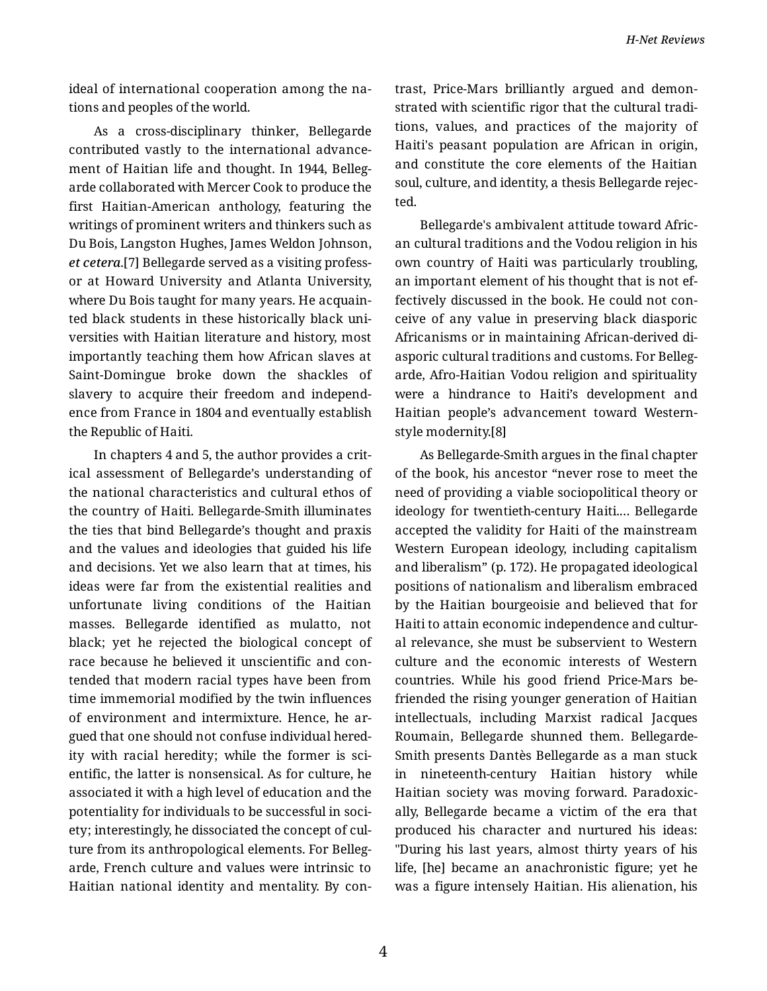*H-Net Reviews*

ideal of international cooperation among the na‐ tions and peoples of the world.

As a cross-disciplinary thinker, Bellegarde contributed vastly to the international advance‐ ment of Haitian life and thought. In 1944, Belleg‐ arde collaborated with Mercer Cook to produce the first Haitian-American anthology, featuring the writings of prominent writers and thinkers such as Du Bois, Langston Hughes, James Weldon Johnson, *et cetera*.[7] Bellegarde served as a visiting profess‐ or at Howard University and Atlanta University, where Du Bois taught for many years. He acquain‐ ted black students in these historically black uni‐ versities with Haitian literature and history, most importantly teaching them how African slaves at Saint-Domingue broke down the shackles of slavery to acquire their freedom and independ‐ ence from France in 1804 and eventually establish the Republic of Haiti.

In chapters 4 and 5, the author provides a crit‐ ical assessment of Bellegarde's understanding of the national characteristics and cultural ethos of the country of Haiti. Bellegarde-Smith illuminates the ties that bind Bellegarde's thought and praxis and the values and ideologies that guided his life and decisions. Yet we also learn that at times, his ideas were far from the existential realities and unfortunate living conditions of the Haitian masses. Bellegarde identified as mulatto, not black; yet he rejected the biological concept of race because he believed it unscientific and con‐ tended that modern racial types have been from time immemorial modified by the twin influences of environment and intermixture. Hence, he ar‐ gued that one should not confuse individual hered‐ ity with racial heredity; while the former is sci‐ entific, the latter is nonsensical. As for culture, he associated it with a high level of education and the potentiality for individuals to be successful in soci‐ ety; interestingly, he dissociated the concept of cul‐ ture from its anthropological elements. For Belleg‐ arde, French culture and values were intrinsic to Haitian national identity and mentality. By con‐ trast, Price-Mars brilliantly argued and demon‐ strated with scientific rigor that the cultural tradi‐ tions, values, and practices of the majority of Haiti's peasant population are African in origin, and constitute the core elements of the Haitian soul, culture, and identity, a thesis Bellegarde rejec‐ ted.

Bellegarde's ambivalent attitude toward Afric‐ an cultural traditions and the Vodou religion in his own country of Haiti was particularly troubling, an important element of his thought that is not ef‐ fectively discussed in the book. He could not con‐ ceive of any value in preserving black diasporic Africanisms or in maintaining African-derived di‐ asporic cultural traditions and customs. For Belleg‐ arde, Afro-Haitian Vodou religion and spirituality were a hindrance to Haiti's development and Haitian people's advancement toward Westernstyle modernity.[8]

As Bellegarde-Smith argues in the final chapter of the book, his ancestor "never rose to meet the need of providing a viable sociopolitical theory or ideology for twentieth-century Haiti.… Bellegarde accepted the validity for Haiti of the mainstream Western European ideology, including capitalism and liberalism" (p. 172). He propagated ideological positions of nationalism and liberalism embraced by the Haitian bourgeoisie and believed that for Haiti to attain economic independence and cultur‐ al relevance, she must be subservient to Western culture and the economic interests of Western countries. While his good friend Price-Mars be‐ friended the rising younger generation of Haitian intellectuals, including Marxist radical Jacques Roumain, Bellegarde shunned them. Bellegarde-Smith presents Dantès Bellegarde as a man stuck in nineteenth-century Haitian history while Haitian society was moving forward. Paradoxic‐ ally, Bellegarde became a victim of the era that produced his character and nurtured his ideas: "During his last years, almost thirty years of his life, [he] became an anachronistic figure; yet he was a figure intensely Haitian. His alienation, his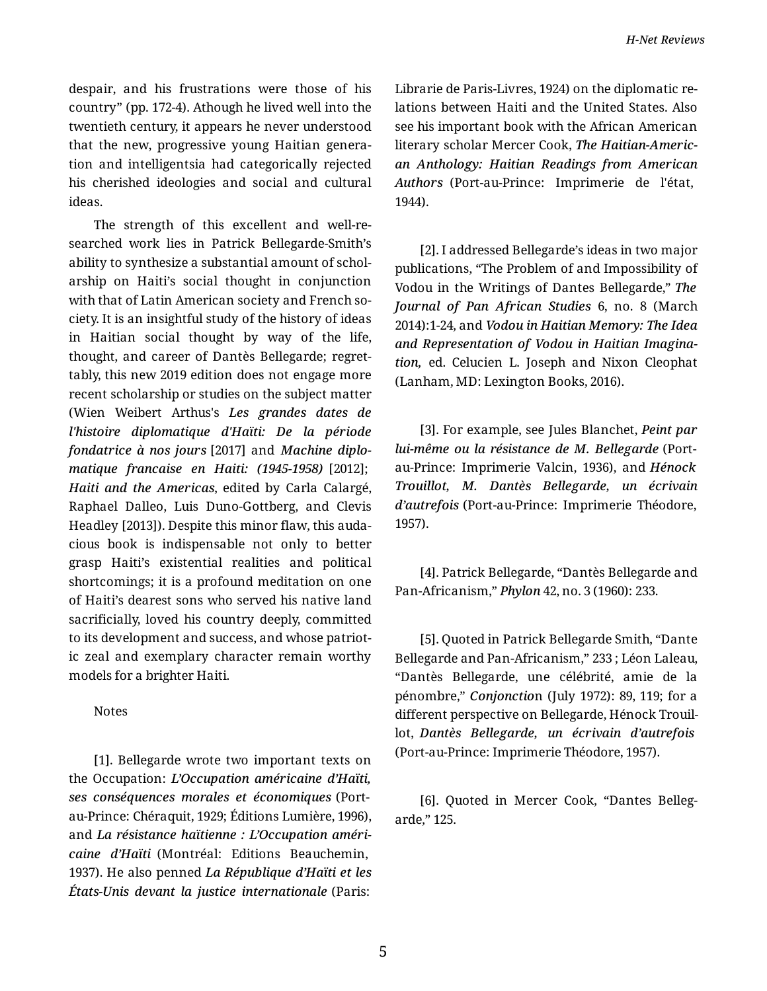despair, and his frustrations were those of his country" (pp. 172-4). Athough he lived well into the twentieth century, it appears he never understood that the new, progressive young Haitian genera‐ tion and intelligentsia had categorically rejected his cherished ideologies and social and cultural ideas.

The strength of this excellent and well-re‐ searched work lies in Patrick Bellegarde-Smith's ability to synthesize a substantial amount of schol‐ arship on Haiti's social thought in conjunction with that of Latin American society and French society. It is an insightful study of the history of ideas in Haitian social thought by way of the life, thought, and career of Dantès Bellegarde; regret‐ tably, this new 2019 edition does not engage more recent scholarship or studies on the subject matter (Wien Weibert Arthus's *Les grandes dates de l'histoire diplomatique d'Haïti: De la période fondatrice à nos jours* [2017] and *Machine diplo‐ matique francaise en Haiti: (1945-1958)* [2012]; *Haiti and the Americas*, edited by Carla Calargé, Raphael Dalleo, Luis Duno-Gottberg, and Clevis Headley [2013]). Despite this minor flaw, this auda‐ cious book is indispensable not only to better grasp Haiti's existential realities and political shortcomings; it is a profound meditation on one of Haiti's dearest sons who served his native land sacrificially, loved his country deeply, committed to its development and success, and whose patriot‐ ic zeal and exemplary character remain worthy models for a brighter Haiti.

Notes

[1]. Bellegarde wrote two important texts on the Occupation: *L'Occupation américaine d'Haïti, ses conséquences morales et économiques* (Portau-Prince: Chéraquit, 1929; Éditions Lumière, 1996), and *La résistance haïtienne : L'Occupation améri‐ caine d'Haïti* (Montréal: Editions Beauchemin, 1937). He also penned *La République d'Haïti et les États-Unis devant la justice internationale* (Paris:

Librarie de Paris-Livres, 1924) on the diplomatic re‐ lations between Haiti and the United States. Also see his important book with the African American literary scholar Mercer Cook, *The Haitian-Americ‐ an Anthology: Haitian Readings from American Authors* (Port-au-Prince: Imprimerie de l'état, 1944).

[2]. I addressed Bellegarde's ideas in two major publications, "The Problem of and Impossibility of Vodou in the Writings of Dantes Bellegarde," *The Journal of Pan African Studies* 6, no. 8 (March 2014):1-24, and *Vodou in Haitian Memory: The Idea and Representation of Vodou in Haitian Imagina‐ tion,* ed. Celucien L. Joseph and Nixon Cleophat (Lanham, MD: Lexington Books, 2016).

[3]. For example, see Jules Blanchet, *Peint par lui-même ou la résistance de M. Bellegarde* (Portau-Prince: Imprimerie Valcin, 1936), and *Hénock Trouillot, M. Dantès Bellegarde, un écrivain d'autrefois* (Port-au-Prince: Imprimerie Théodore, 1957).

[4]. Patrick Bellegarde, "Dantès Bellegarde and Pan-Africanism," *Phylon* 42, no. 3 (1960): 233.

[5]. Quoted in Patrick Bellegarde Smith, "Dante Bellegarde and Pan-Africanism," 233 ; Léon Laleau, "Dantès Bellegarde, une célébrité, amie de la pénombre," *Conjonctio*n (July 1972): 89, 119; for a different perspective on Bellegarde, Hénock Trouil‐ lot, *Dantès Bellegarde, un écrivain d'autrefois* (Port-au-Prince: Imprimerie Théodore, 1957).

[6]. Quoted in Mercer Cook, "Dantes Belleg‐ arde," 125.